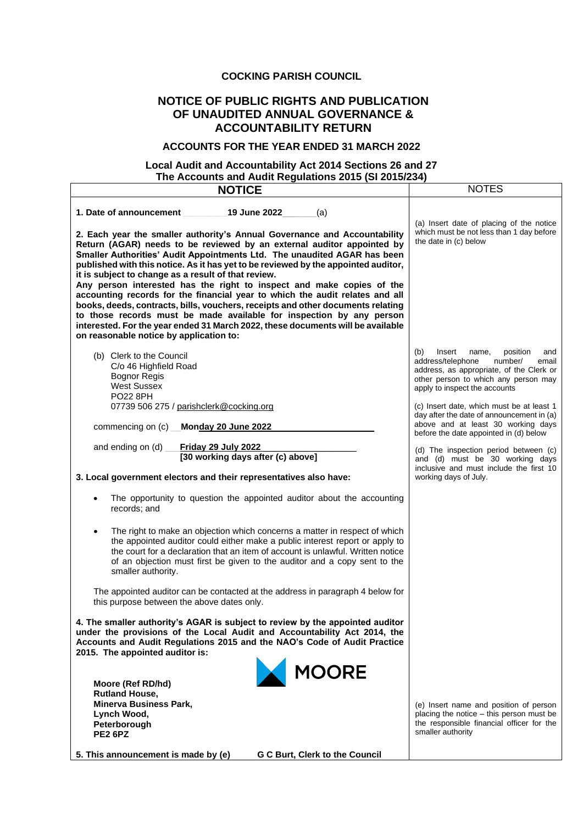### **COCKING PARISH COUNCIL**

## **NOTICE OF PUBLIC RIGHTS AND PUBLICATION OF UNAUDITED ANNUAL GOVERNANCE & ACCOUNTABILITY RETURN**

#### **ACCOUNTS FOR THE YEAR ENDED 31 MARCH 2022**

#### **Local Audit and Accountability Act 2014 Sections 26 and 27 The Accounts and Audit Regulations 2015 (SI 2015/234)**

| <b>NOTICE</b>                                                                                                                                                                                                                                                                                                                                                                                                                                         | <b>NOTES</b>                                                                                                                                                                                            |  |
|-------------------------------------------------------------------------------------------------------------------------------------------------------------------------------------------------------------------------------------------------------------------------------------------------------------------------------------------------------------------------------------------------------------------------------------------------------|---------------------------------------------------------------------------------------------------------------------------------------------------------------------------------------------------------|--|
| 1. Date of announcement<br>19 June 2022<br>(a)                                                                                                                                                                                                                                                                                                                                                                                                        | (a) Insert date of placing of the notice                                                                                                                                                                |  |
| 2. Each year the smaller authority's Annual Governance and Accountability<br>Return (AGAR) needs to be reviewed by an external auditor appointed by<br>Smaller Authorities' Audit Appointments Ltd. The unaudited AGAR has been<br>published with this notice. As it has yet to be reviewed by the appointed auditor,<br>it is subject to change as a result of that review.<br>Any person interested has the right to inspect and make copies of the | which must be not less than 1 day before<br>the date in (c) below                                                                                                                                       |  |
| accounting records for the financial year to which the audit relates and all<br>books, deeds, contracts, bills, vouchers, receipts and other documents relating<br>to those records must be made available for inspection by any person<br>interested. For the year ended 31 March 2022, these documents will be available<br>on reasonable notice by application to:                                                                                 |                                                                                                                                                                                                         |  |
| (b) Clerk to the Council<br>C/o 46 Highfield Road<br><b>Bognor Regis</b><br><b>West Sussex</b><br><b>PO22 8PH</b>                                                                                                                                                                                                                                                                                                                                     | (b)<br>Insert<br>position<br>name,<br>and<br>address/telephone<br>number/<br>email<br>address, as appropriate, of the Clerk or<br>other person to which any person may<br>apply to inspect the accounts |  |
| 07739 506 275 / parishclerk@cocking.org<br>Monday 20 June 2022<br>commencing on (c)                                                                                                                                                                                                                                                                                                                                                                   | (c) Insert date, which must be at least 1<br>day after the date of announcement in (a)<br>above and at least 30 working days<br>before the date appointed in (d) below                                  |  |
| and ending on (d)<br>Friday 29 July 2022<br>[30 working days after (c) above]<br>3. Local government electors and their representatives also have:                                                                                                                                                                                                                                                                                                    | (d) The inspection period between (c)<br>and (d) must be 30 working days<br>inclusive and must include the first 10<br>working days of July.                                                            |  |
| The opportunity to question the appointed auditor about the accounting<br>records; and                                                                                                                                                                                                                                                                                                                                                                |                                                                                                                                                                                                         |  |
| The right to make an objection which concerns a matter in respect of which<br>the appointed auditor could either make a public interest report or apply to<br>the court for a declaration that an item of account is unlawful. Written notice<br>of an objection must first be given to the auditor and a copy sent to the<br>smaller authority.                                                                                                      |                                                                                                                                                                                                         |  |
| The appointed auditor can be contacted at the address in paragraph 4 below for<br>this purpose between the above dates only.                                                                                                                                                                                                                                                                                                                          |                                                                                                                                                                                                         |  |
| 4. The smaller authority's AGAR is subject to review by the appointed auditor<br>under the provisions of the Local Audit and Accountability Act 2014, the<br>Accounts and Audit Regulations 2015 and the NAO's Code of Audit Practice<br>2015. The appointed auditor is:                                                                                                                                                                              |                                                                                                                                                                                                         |  |
| <b>MOORE</b><br>Moore (Ref RD/hd)<br><b>Rutland House,</b>                                                                                                                                                                                                                                                                                                                                                                                            |                                                                                                                                                                                                         |  |
| Minerva Business Park,<br>Lynch Wood,<br>Peterborough<br><b>PE2 6PZ</b>                                                                                                                                                                                                                                                                                                                                                                               | (e) Insert name and position of person<br>placing the notice – this person must be<br>the responsible financial officer for the<br>smaller authority                                                    |  |
| 5. This announcement is made by (e)<br>G C Burt, Clerk to the Council                                                                                                                                                                                                                                                                                                                                                                                 |                                                                                                                                                                                                         |  |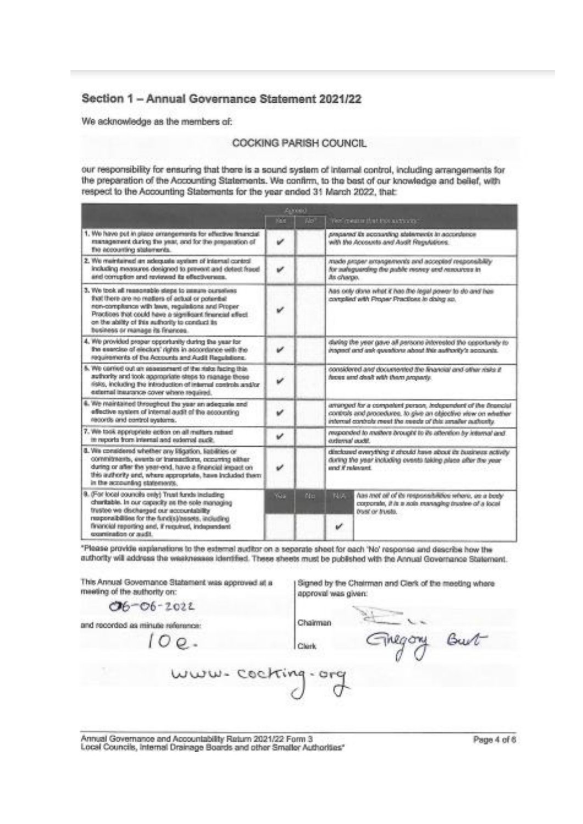# Section 1 - Annual Governance Statement 2021/22

We acknowledge as the members of:

#### COCKING PARISH COUNCIL

our responsibility for ensuring that there is a sound system of internal control, including arrangements for the preparation of the Accounting Statements. We confirm, to the best of our knowledge and belief, with respect to the Accounting Statements for the year ended 31 March 2022, that:

|                                                                                                                                                                                                                                                                                                                  |             | Arrest |                                                                                                                                                                                              |                                                                                                                               |
|------------------------------------------------------------------------------------------------------------------------------------------------------------------------------------------------------------------------------------------------------------------------------------------------------------------|-------------|--------|----------------------------------------------------------------------------------------------------------------------------------------------------------------------------------------------|-------------------------------------------------------------------------------------------------------------------------------|
|                                                                                                                                                                                                                                                                                                                  | <b>POST</b> | RB.    |                                                                                                                                                                                              | yes measuring that this authorities.                                                                                          |
| 1. We have put in place arrangements for effective financial<br>management during the year, and for the preparation of<br>Tre accounting statements.                                                                                                                                                             | v           |        |                                                                                                                                                                                              | pregnance is superstanding and a procedure all beneficient<br>with the Accounts and Audit Regulations.                        |
| 2. We membered an adequate system of internal control<br>Including measures designed to prevent and detect frace!<br>and comption and reviewed its effectiveness.                                                                                                                                                | v           |        | As change.                                                                                                                                                                                   | wade proper aroungerends and accepted responsibility<br>for sureguarding the public money and resources in                    |
| 3. We took all reasonable steps to assum ourselves<br>that there are no metters of actual or potential<br>non-compliance with team, requisitions and Proper<br>Practices that could have a significant financial effect.<br>on the ability of this suffrontly to conduct its<br>business or manage its finances. | v           |        |                                                                                                                                                                                              | has only done what it has the legal power to do and bas-<br>cortplied with Proper Practices in doing so.                      |
| 4. We provided proper opportunity during the year for<br>the exercise of electors' rights in accordance with the<br>requirements of the Accounts and Audit Regulations.                                                                                                                                          | v           |        |                                                                                                                                                                                              | during the year gave all persons interested the opportunity to<br>inspect and ask quastions about this authority's accounts.  |
| 5. We conied out an assessment of the risks facing this<br>authority and took appropriate steps to nignage those<br>risks, including the introduction of internal controls and/or<br>external insurance cover where required.                                                                                    | v           |        | considered and documented the financial and other risks if<br>firest and dealt with them properly.                                                                                           |                                                                                                                               |
| 6. We maintained throughout the year an adequale and<br>effective system of internal audit of the accounting<br>records and control systems.                                                                                                                                                                     | v           |        | amanged for a competent person, independent of the financial<br>controls and procedures. to give an objective view on whather<br>internal controls meet the reads of this smaller authority. |                                                                                                                               |
| 7. We took appropriate action on all matters ratest<br>in reports from internal and external audit.                                                                                                                                                                                                              | v           |        | responded to matters brought to its attention by internal and.<br>oxfermal audit.                                                                                                            |                                                                                                                               |
| 8. We considered whether any lifigation, liabilities or<br>commitments, events or insnections, occurring either<br>during or after the year-end, have a financial impact on<br>this authority and, where appropriate, have included them<br>in the accounting statements.                                        | v           |        | direksard everything it stroutd have about its business activity<br>during the year including overets taking place after the year.<br>and if relevant.                                       |                                                                                                                               |
| 9. (For local councils only) Trust funds including<br>charitable. In our capacity as the sole managing<br>trustee we discharged our accountability<br>nuponsibilities for the fund(s)/assets, induding                                                                                                           | Yes.        | No     | NA                                                                                                                                                                                           | has not of of its responsibilities where, es a body<br>corporate, if is a sole managing invalve of a local<br>bust or trusts. |
| financial reporting and, if required, independent<br>experimention or mudit.                                                                                                                                                                                                                                     |             |        | v                                                                                                                                                                                            |                                                                                                                               |

\*Please provide explanations to the external auditor on a separate sheet for each 'No' response and describe how the authority will address the weaknesses identified. These sheets must be published with the Annual Governance Statement.

Clerk

This Annual Governance Statement was approved at a meeting of the authority on:

 $00.$ 

 $O6 - O6 - 2022$ 

and recorded as minute reference:

Signed by the Chairman and Clerk of the meeting where approval was given:

negony

Chairman

Burt

www- cocking

Annual Governance and Accountability Raturn 2021/22 Form 3. Local Councils, Internal Drainage Boards and other Smaller Authorities"